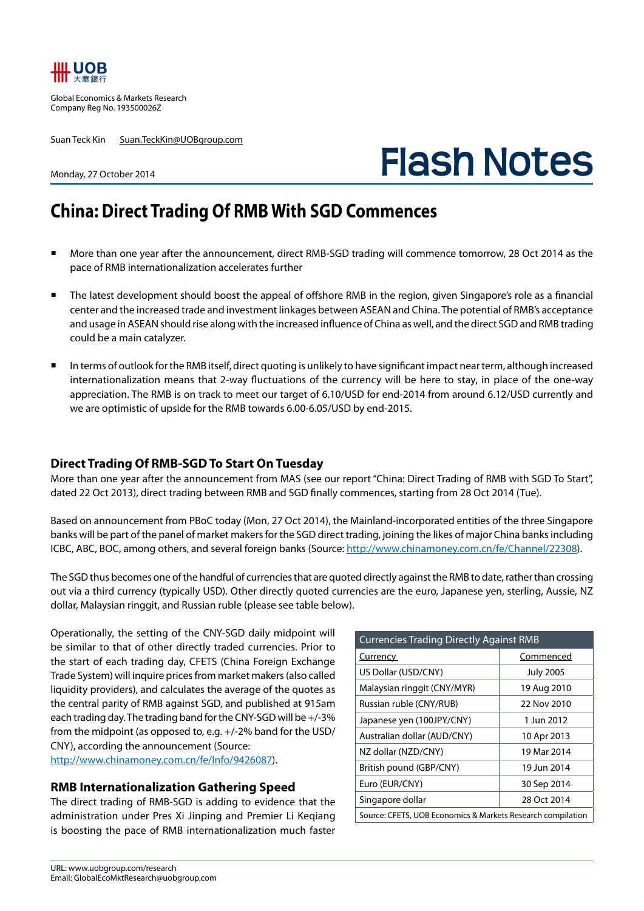

Global Economics & Markets Research Company Reg No. 193500026Z

Suan Teck Kin Suan.TeckKin@UOBgroup.com

# **Flash Notes**

#### Monday, 27 October 2014

## **China: Direct Trading Of RMB With SGD Commences**

- More than one year after the announcement, direct RMB-SGD trading will commence tomorrow, 28 Oct 2014 as the pace of RMB internationalization accelerates further
- The latest development should boost the appeal of offshore RMB in the region, given Singapore's role as a financial center and the increased trade and investment linkages between ASEAN and China. The potential of RMB's acceptance and usage in ASEAN should rise along with the increased influence of China as well, and the direct SGD and RMB trading could be a main catalyzer.
- In terms of outlook for the RMB itself, direct quoting is unlikely to have significant impact near term, although increased internationalization means that 2-way fluctuations of the currency will be here to stay, in place of the one-way appreciation. The RMB is on track to meet our target of 6.10/USD for end-2014 from around 6.12/USD currently and we are optimistic of upside for the RMB towards 6.00-6.05/USD by end-2015.

#### **Direct Trading Of RMB-SGD To Start On Tuesday**

More than one year after the announcement from MAS (see our report "China: Direct Trading of RMB with SGD To Start", dated 22 Oct 2013), direct trading between RMB and SGD finally commences, starting from 28 Oct 2014 (Tue).

Based on announcement from PBoC today (Mon, 27 Oct 2014), the Mainland-incorporated entities of the three Singapore banks will be part of the panel of market makers for the SGD direct trading, joining the likes of major China banks including ICBC, ABC, BOC, among others, and several foreign banks (Source: http://www.chinamoney.com.cn/fe/Channel/22308).

The SGD thus becomes one of the handful of currencies that are quoted directly against the RMB to date, rather than crossing out via a third currency (typically USD). Other directly quoted currencies are the euro, Japanese yen, sterling, Aussie, NZ dollar, Malaysian ringgit, and Russian ruble (please see table below).

Operationally, the setting of the CNY-SGD daily midpoint will be similar to that of other directly traded currencies. Prior to the start of each trading day, CFETS (China Foreign Exchange Trade System) will inquire prices from market makers (also called liquidity providers), and calculates the average of the quotes as the central parity of RMB against SGD, and published at 915am each trading day. The trading band for the CNY-SGD will be +/-3% from the midpoint (as opposed to, e.g. +/-2% band for the USD/ CNY), according the announcement (Source: http://www.chinamoney.com.cn/fe/Info/9426087).

#### **RMB Internationalization Gathering Speed**

The direct trading of RMB-SGD is adding to evidence that the administration under Pres Xi Jinping and Premier Li Keqiang is boosting the pace of RMB internationalization much faster

| <b>Currencies Trading Directly Against RMB</b>              |                  |
|-------------------------------------------------------------|------------------|
| <u>Currency</u>                                             | Commenced        |
| US Dollar (USD/CNY)                                         | <b>July 2005</b> |
| Malaysian ringgit (CNY/MYR)                                 | 19 Aug 2010      |
| Russian ruble (CNY/RUB)                                     | 22 Nov 2010      |
| Japanese yen (100JPY/CNY)                                   | 1 Jun 2012       |
| Australian dollar (AUD/CNY)                                 | 10 Apr 2013      |
| NZ dollar (NZD/CNY)                                         | 19 Mar 2014      |
| British pound (GBP/CNY)                                     | 19 Jun 2014      |
| Euro (EUR/CNY)                                              | 30 Sep 2014      |
| Singapore dollar                                            | 28 Oct 2014      |
| Source: CFETS, UOB Economics & Markets Research compilation |                  |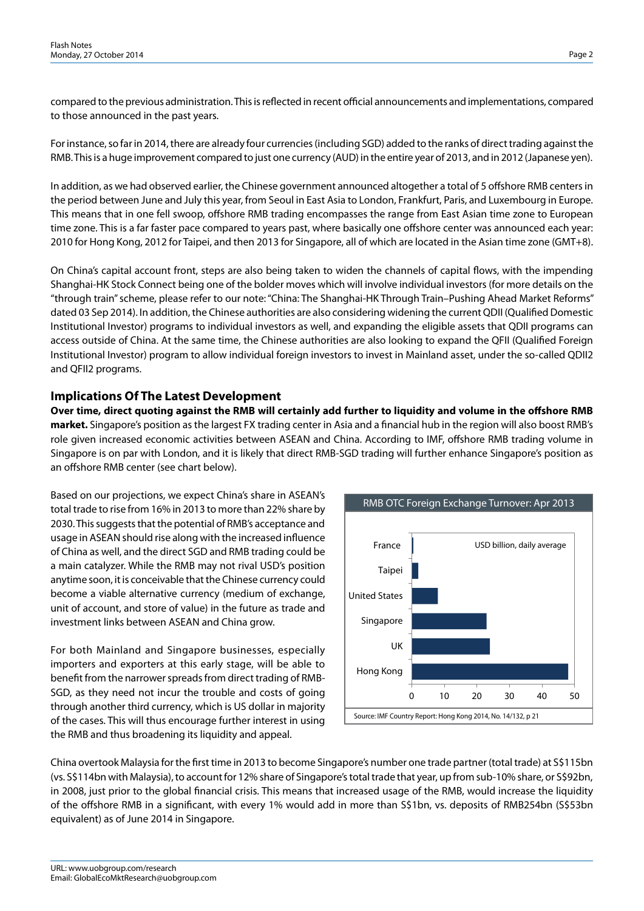compared to the previous administration. This is reflected in recent official announcements and implementations, compared to those announced in the past years.

For instance, so far in 2014, there are already four currencies (including SGD) added to the ranks of direct trading against the RMB. This is a huge improvement compared to just one currency (AUD) in the entire year of 2013, and in 2012 (Japanese yen).

In addition, as we had observed earlier, the Chinese government announced altogether a total of 5 offshore RMB centers in the period between June and July this year, from Seoul in East Asia to London, Frankfurt, Paris, and Luxembourg in Europe. This means that in one fell swoop, offshore RMB trading encompasses the range from East Asian time zone to European time zone. This is a far faster pace compared to years past, where basically one offshore center was announced each year: 2010 for Hong Kong, 2012 for Taipei, and then 2013 for Singapore, all of which are located in the Asian time zone (GMT+8).

On China's capital account front, steps are also being taken to widen the channels of capital flows, with the impending Shanghai-HK Stock Connect being one of the bolder moves which will involve individual investors (for more details on the "through train" scheme, please refer to our note: "China: The Shanghai-HK Through Train–Pushing Ahead Market Reforms" dated 03 Sep 2014). In addition, the Chinese authorities are also considering widening the current QDII (Qualified Domestic Institutional Investor) programs to individual investors as well, and expanding the eligible assets that QDII programs can access outside of China. At the same time, the Chinese authorities are also looking to expand the QFII (Qualified Foreign Institutional Investor) program to allow individual foreign investors to invest in Mainland asset, under the so-called QDII2 and QFII2 programs.

### **Implications Of The Latest Development**

**Over time, direct quoting against the RMB will certainly add further to liquidity and volume in the offshore RMB market.** Singapore's position as the largest FX trading center in Asia and a financial hub in the region will also boost RMB's role given increased economic activities between ASEAN and China. According to IMF, offshore RMB trading volume in Singapore is on par with London, and it is likely that direct RMB-SGD trading will further enhance Singapore's position as an offshore RMB center (see chart below).

Based on our projections, we expect China's share in ASEAN's total trade to rise from 16% in 2013 to more than 22% share by 2030. This suggests that the potential of RMB's acceptance and usage in ASEAN should rise along with the increased influence of China as well, and the direct SGD and RMB trading could be a main catalyzer. While the RMB may not rival USD's position anytime soon, it is conceivable that the Chinese currency could become a viable alternative currency (medium of exchange, unit of account, and store of value) in the future as trade and investment links between ASEAN and China grow.

For both Mainland and Singapore businesses, especially importers and exporters at this early stage, will be able to benefit from the narrower spreads from direct trading of RMB-SGD, as they need not incur the trouble and costs of going through another third currency, which is US dollar in majority of the cases. This will thus encourage further interest in using the RMB and thus broadening its liquidity and appeal.



China overtook Malaysia for the first time in 2013 to become Singapore's number one trade partner (total trade) at S\$115bn (vs. S\$114bn with Malaysia), to account for 12% share of Singapore's total trade that year, up from sub-10% share, or S\$92bn, in 2008, just prior to the global financial crisis. This means that increased usage of the RMB, would increase the liquidity of the offshore RMB in a significant, with every 1% would add in more than S\$1bn, vs. deposits of RMB254bn (S\$53bn equivalent) as of June 2014 in Singapore.